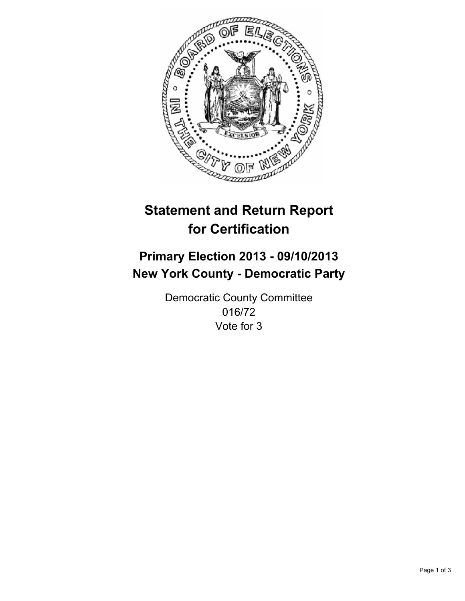

# **Statement and Return Report for Certification**

# **Primary Election 2013 - 09/10/2013 New York County - Democratic Party**

Democratic County Committee 016/72 Vote for 3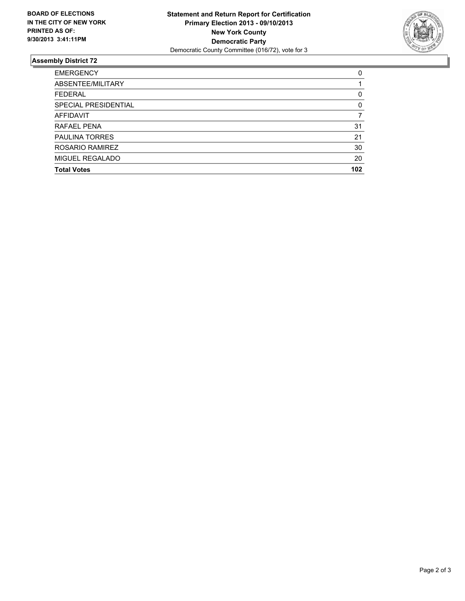

## **Assembly District 72**

| <b>EMERGENCY</b>      | 0        |
|-----------------------|----------|
| ABSENTEE/MILITARY     |          |
| <b>FEDERAL</b>        | 0        |
| SPECIAL PRESIDENTIAL  | $\Omega$ |
| <b>AFFIDAVIT</b>      |          |
| <b>RAFAEL PENA</b>    | 31       |
| <b>PAULINA TORRES</b> | 21       |
| ROSARIO RAMIREZ       | 30       |
| MIGUEL REGALADO       | 20       |
| <b>Total Votes</b>    | 102      |